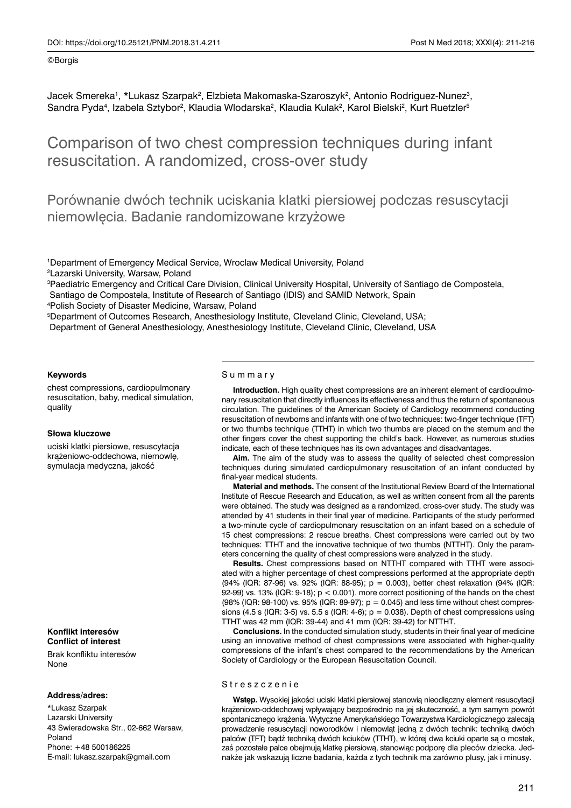#### ©Borgis

Jacek Smereka<sup>1</sup>, \*Lukasz Szarpak<sup>2</sup>, Elzbieta Makomaska-Szaroszyk<sup>2</sup>, Antonio Rodriguez-Nunez<sup>3</sup>, Sandra Pyda<sup>4</sup>, Izabela Sztybor<sup>2</sup>, Klaudia Wlodarska<sup>2</sup>, Klaudia Kulak<sup>2</sup>, Karol Bielski<sup>2</sup>, Kurt Ruetzler<sup>s</sup>

# Comparison of two chest compression techniques during infant resuscitation. A randomized, cross-over study

Porównanie dwóch technik uciskania klatki piersiowej podczas resuscytacji niemowlęcia. Badanie randomizowane krzyżowe

1 Department of Emergency Medical Service, Wroclaw Medical University, Poland

2 Lazarski University, Warsaw, Poland

3 Paediatric Emergency and Critical Care Division, Clinical University Hospital, University of Santiago de Compostela,

Santiago de Compostela, Institute of Research of Santiago (IDIS) and SAMID Network, Spain

4 Polish Society of Disaster Medicine, Warsaw, Poland

5 Department of Outcomes Research, Anesthesiology Institute, Cleveland Clinic, Cleveland, USA;

Department of General Anesthesiology, Anesthesiology Institute, Cleveland Clinic, Cleveland, USA

#### **Keywords**

chest compressions, cardiopulmonary resuscitation, baby, medical simulation, quality

## **Słowa kluczowe**

uciski klatki piersiowe, resuscytacja krążeniowo-oddechowa, niemowlę, symulacja medyczna, jakość

**Konflikt interesów Conflict of interest**

Brak konfliktu interesów None

#### **Address/adres:**

\*Lukasz Szarpak Lazarski University 43 Swieradowska Str., 02-662 Warsaw, Poland Phone: +48 500186225 E-mail: lukasz.szarpak@gmail.com

## Summary

**Introduction.** High quality chest compressions are an inherent element of cardiopulmonary resuscitation that directly influences its effectiveness and thus the return of spontaneous circulation. The guidelines of the American Society of Cardiology recommend conducting resuscitation of newborns and infants with one of two techniques: two-finger technique (TFT) or two thumbs technique (TTHT) in which two thumbs are placed on the sternum and the other fingers cover the chest supporting the child's back. However, as numerous studies indicate, each of these techniques has its own advantages and disadvantages.

**Aim.** The aim of the study was to assess the quality of selected chest compression techniques during simulated cardiopulmonary resuscitation of an infant conducted by final-year medical students.

**Material and methods.** The consent of the Institutional Review Board of the International Institute of Rescue Research and Education, as well as written consent from all the parents were obtained. The study was designed as a randomized, cross-over study. The study was attended by 41 students in their final year of medicine. Participants of the study performed a two-minute cycle of cardiopulmonary resuscitation on an infant based on a schedule of 15 chest compressions: 2 rescue breaths. Chest compressions were carried out by two techniques: TTHT and the innovative technique of two thumbs (NTTHT). Only the parameters concerning the quality of chest compressions were analyzed in the study.

**Results.** Chest compressions based on NTTHT compared with TTHT were associated with a higher percentage of chest compressions performed at the appropriate depth (94% (IQR: 87-96) vs. 92% (IQR: 88-95); p = 0.003), better chest relaxation (94% (IQR: 92-99) vs. 13% (IQR: 9-18); p < 0.001), more correct positioning of the hands on the chest (98% (IQR: 98-100) vs. 95% (IQR: 89-97);  $p = 0.045$ ) and less time without chest compressions (4.5 s (IQR: 3-5) vs. 5.5 s (IQR: 4-6);  $p = 0.038$ ). Depth of chest compressions using TTHT was 42 mm (IQR: 39-44) and 41 mm (IQR: 39-42) for NTTHT.

**Conclusions.** In the conducted simulation study, students in their final year of medicine using an innovative method of chest compressions were associated with higher-quality compressions of the infant's chest compared to the recommendations by the American Society of Cardiology or the European Resuscitation Council.

#### Streszczenie

**Wstęp.** Wysokiej jakości uciski klatki piersiowej stanowią nieodłączny element resuscytacji krążeniowo-oddechowej wpływający bezpośrednio na jej skuteczność, a tym samym powrót spontanicznego krążenia. Wytyczne Amerykańskiego Towarzystwa Kardiologicznego zalecają prowadzenie resuscytacji noworodków i niemowląt jedną z dwóch technik: techniką dwóch palców (TFT) bądź techniką dwóch kciuków (TTHT), w której dwa kciuki oparte są o mostek, zaś pozostałe palce obejmują klatkę piersiową, stanowiąc podporę dla pleców dziecka. Jednakże jak wskazują liczne badania, każda z tych technik ma zarówno plusy, jak i minusy.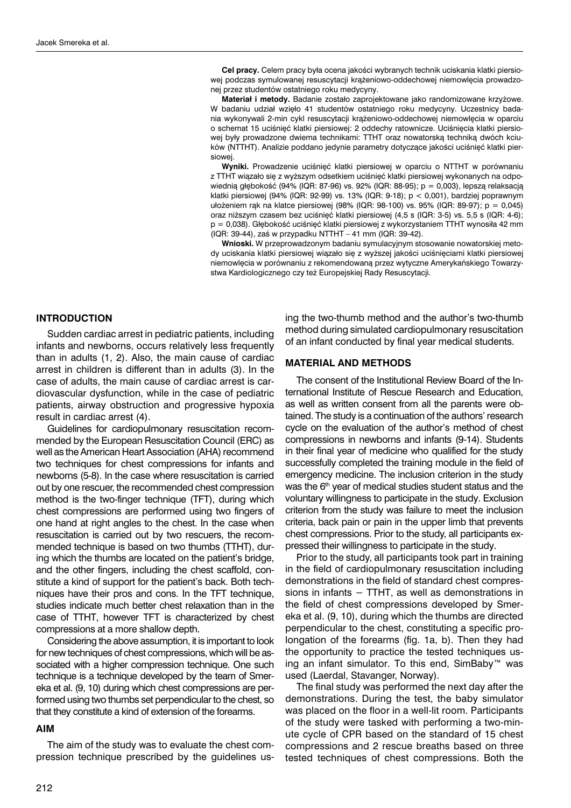**Cel pracy.** Celem pracy była ocena jakości wybranych technik uciskania klatki piersiowej podczas symulowanej resuscytacji krążeniowo-oddechowej niemowlęcia prowadzonej przez studentów ostatniego roku medycyny.

**Materiał i metody.** Badanie zostało zaprojektowane jako randomizowane krzyżowe. W badaniu udział wzięło 41 studentów ostatniego roku medycyny. Uczestnicy badania wykonywali 2-min cykl resuscytacji krążeniowo-oddechowej niemowlęcia w oparciu o schemat 15 uciśnięć klatki piersiowej: 2 oddechy ratownicze. Uciśnięcia klatki piersiowej były prowadzone dwiema technikami: TTHT oraz nowatorską techniką dwóch kciuków (NTTHT). Analizie poddano jedynie parametry dotyczące jakości uciśnięć klatki piersiowej.

**Wyniki.** Prowadzenie uciśnięć klatki piersiowej w oparciu o NTTHT w porównaniu z TTHT wiązało się z wyższym odsetkiem uciśnięć klatki piersiowej wykonanych na odpowiednią głębokość (94% (IQR: 87-96) vs. 92% (IQR: 88-95); p = 0,003), lepszą relaksacją klatki piersiowej (94% (IQR: 92-99) vs. 13% (IQR: 9-18); p < 0,001), bardziej poprawnym ułożeniem rąk na klatce piersiowej (98% (IQR: 98-100) vs. 95% (IQR: 89-97); p = 0,045) oraz niższym czasem bez uciśnięć klatki piersiowej (4,5 s (IQR: 3-5) vs. 5,5 s (IQR: 4-6); p = 0,038). Głębokość uciśnięć klatki piersiowej z wykorzystaniem TTHT wynosiła 42 mm (IQR: 39-44), zaś w przypadku NTTHT – 41 mm (IQR: 39-42).

**Wnioski.** W przeprowadzonym badaniu symulacyjnym stosowanie nowatorskiej metody uciskania klatki piersiowej wiązało się z wyższej jakości uciśnięciami klatki piersiowej niemowlęcia w porównaniu z rekomendowaną przez wytyczne Amerykańskiego Towarzystwa Kardiologicznego czy też Europejskiej Rady Resuscytacji.

# **INTRODUCTION**

Sudden cardiac arrest in pediatric patients, including infants and newborns, occurs relatively less frequently than in adults (1, 2). Also, the main cause of cardiac arrest in children is different than in adults (3). In the case of adults, the main cause of cardiac arrest is cardiovascular dysfunction, while in the case of pediatric patients, airway obstruction and progressive hypoxia result in cardiac arrest (4).

Guidelines for cardiopulmonary resuscitation recommended by the European Resuscitation Council (ERC) as well as the American Heart Association (AHA) recommend two techniques for chest compressions for infants and newborns (5-8). In the case where resuscitation is carried out by one rescuer, the recommended chest compression method is the two-finger technique (TFT), during which chest compressions are performed using two fingers of one hand at right angles to the chest. In the case when resuscitation is carried out by two rescuers, the recommended technique is based on two thumbs (TTHT), during which the thumbs are located on the patient's bridge, and the other fingers, including the chest scaffold, constitute a kind of support for the patient's back. Both techniques have their pros and cons. In the TFT technique, studies indicate much better chest relaxation than in the case of TTHT, however TFT is characterized by chest compressions at a more shallow depth.

Considering the above assumption, it is important to look for new techniques of chest compressions, which will be associated with a higher compression technique. One such technique is a technique developed by the team of Smereka et al. (9, 10) during which chest compressions are performed using two thumbs set perpendicular to the chest, so that they constitute a kind of extension of the forearms.

#### **AIM**

The aim of the study was to evaluate the chest compression technique prescribed by the guidelines using the two-thumb method and the author's two-thumb method during simulated cardiopulmonary resuscitation of an infant conducted by final year medical students.

### **MATERIAL AND METHODS**

The consent of the Institutional Review Board of the International Institute of Rescue Research and Education, as well as written consent from all the parents were obtained. The study is a continuation of the authors' research cycle on the evaluation of the author's method of chest compressions in newborns and infants (9-14). Students in their final year of medicine who qualified for the study successfully completed the training module in the field of emergency medicine. The inclusion criterion in the study was the  $6<sup>th</sup>$  year of medical studies student status and the voluntary willingness to participate in the study. Exclusion criterion from the study was failure to meet the inclusion criteria, back pain or pain in the upper limb that prevents chest compressions. Prior to the study, all participants expressed their willingness to participate in the study.

Prior to the study, all participants took part in training in the field of cardiopulmonary resuscitation including demonstrations in the field of standard chest compressions in infants − TTHT, as well as demonstrations in the field of chest compressions developed by Smereka et al. (9, 10), during which the thumbs are directed perpendicular to the chest, constituting a specific prolongation of the forearms (fig. 1a, b). Then they had the opportunity to practice the tested techniques using an infant simulator. To this end, SimBaby™ was used (Laerdal, Stavanger, Norway).

The final study was performed the next day after the demonstrations. During the test, the baby simulator was placed on the floor in a well-lit room. Participants of the study were tasked with performing a two-minute cycle of CPR based on the standard of 15 chest compressions and 2 rescue breaths based on three tested techniques of chest compressions. Both the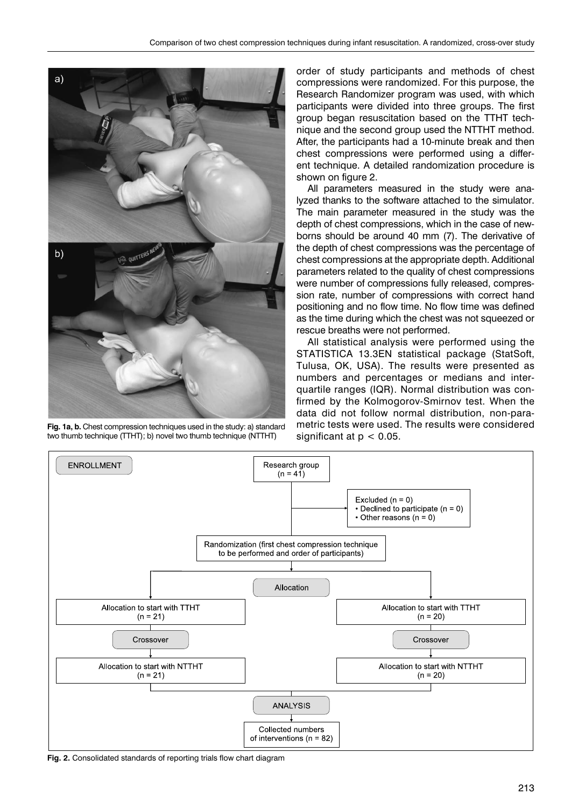

**Fig. 1a, b.** Chest compression techniques used in the study: a) standard two thumb technique (TTHT); b) novel two thumb technique (NTTHT)

order of study participants and methods of chest compressions were randomized. For this purpose, the Research Randomizer program was used, with which participants were divided into three groups. The first group began resuscitation based on the TTHT technique and the second group used the NTTHT method. After, the participants had a 10-minute break and then chest compressions were performed using a different technique. A detailed randomization procedure is shown on figure 2.

All parameters measured in the study were analyzed thanks to the software attached to the simulator. The main parameter measured in the study was the depth of chest compressions, which in the case of newborns should be around 40 mm (7). The derivative of the depth of chest compressions was the percentage of chest compressions at the appropriate depth. Additional parameters related to the quality of chest compressions were number of compressions fully released, compression rate, number of compressions with correct hand positioning and no flow time. No flow time was defined as the time during which the chest was not squeezed or rescue breaths were not performed.

All statistical analysis were performed using the STATISTICA 13.3EN statistical package (StatSoft, Tulusa, OK, USA). The results were presented as numbers and percentages or medians and interquartile ranges (IQR). Normal distribution was confirmed by the Kolmogorov-Smirnov test. When the data did not follow normal distribution, non-parametric tests were used. The results were considered significant at  $p < 0.05$ .



**Fig. 2.** Consolidated standards of reporting trials flow chart diagram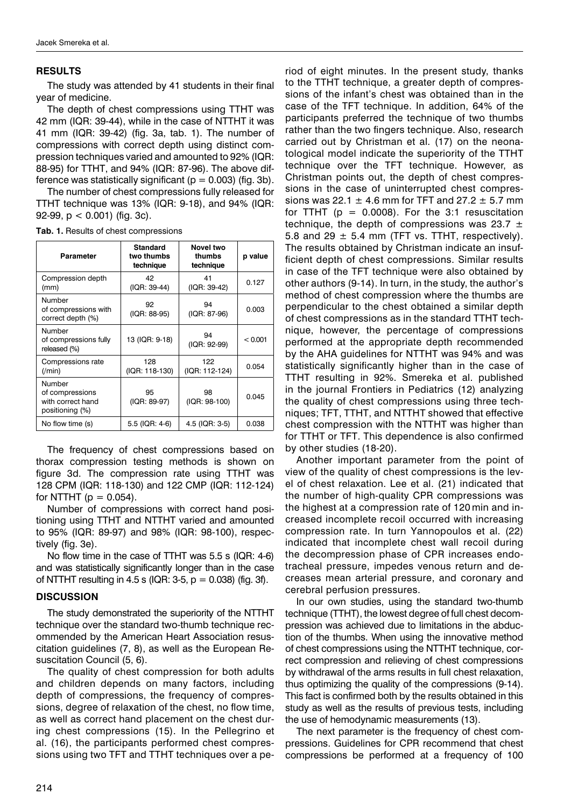# **RESULTS**

The study was attended by 41 students in their final year of medicine.

The depth of chest compressions using TTHT was 42 mm (IQR: 39-44), while in the case of NTTHT it was 41 mm (IQR: 39-42) (fig. 3a, tab. 1). The number of compressions with correct depth using distinct compression techniques varied and amounted to 92% (IQR: 88-95) for TTHT, and 94% (IQR: 87-96). The above difference was statistically significant ( $p = 0.003$ ) (fig. 3b).

The number of chest compressions fully released for TTHT technique was 13% (IQR: 9-18), and 94% (IQR: 92-99, p < 0.001) (fig. 3c).

| Parameter                                                         | <b>Standard</b><br>two thumbs<br>technique | Novel two<br>thumbs<br>technique | p value |
|-------------------------------------------------------------------|--------------------------------------------|----------------------------------|---------|
| Compression depth<br>(mm)                                         | 42<br>(IQR: 39-44)                         | 41<br>(IQR: 39-42)               | 0.127   |
| Number<br>of compressions with<br>correct depth (%)               | 92<br>(IQR: 88-95)                         | 94<br>(IQR: 87-96)               | 0.003   |
| Number<br>of compressions fully<br>released (%)                   | 13 (IQR: 9-18)                             | 94<br>(IQR: 92-99)               | < 0.001 |
| Compressions rate<br>( / min)                                     | 128<br>(IQR: 118-130)                      | 122<br>(IQR: 112-124)            | 0.054   |
| Number<br>of compressions<br>with correct hand<br>positioning (%) | 95<br>(IQR: 89-97)                         | 98<br>(IQR: 98-100)              | 0.045   |
| No flow time (s)                                                  | 5.5 (IQR: 4-6)                             | 4.5 (IQR: 3-5)                   | 0.038   |

**Tab. 1.** Results of chest compressions

The frequency of chest compressions based on thorax compression testing methods is shown on figure 3d. The compression rate using TTHT was 128 CPM (IQR: 118-130) and 122 CMP (IQR: 112-124) for NTTHT  $(p = 0.054)$ .

Number of compressions with correct hand positioning using TTHT and NTTHT varied and amounted to 95% (IQR: 89-97) and 98% (IQR: 98-100), respectively (fig. 3e).

No flow time in the case of TTHT was 5.5 s (IQR: 4-6) and was statistically significantly longer than in the case of NTTHT resulting in 4.5 s (IQR: 3-5,  $p = 0.038$ ) (fig. 3f).

# **DISCUSSION**

The study demonstrated the superiority of the NTTHT technique over the standard two-thumb technique recommended by the American Heart Association resuscitation guidelines (7, 8), as well as the European Resuscitation Council (5, 6).

The quality of chest compression for both adults and children depends on many factors, including depth of compressions, the frequency of compressions, degree of relaxation of the chest, no flow time, as well as correct hand placement on the chest during chest compressions (15). In the Pellegrino et al. (16), the participants performed chest compressions using two TFT and TTHT techniques over a period of eight minutes. In the present study, thanks to the TTHT technique, a greater depth of compressions of the infant's chest was obtained than in the case of the TFT technique. In addition, 64% of the participants preferred the technique of two thumbs rather than the two fingers technique. Also, research carried out by Christman et al. (17) on the neonatological model indicate the superiority of the TTHT technique over the TFT technique. However, as Christman points out, the depth of chest compressions in the case of uninterrupted chest compressions was 22.1  $\pm$  4.6 mm for TFT and 27.2  $\pm$  5.7 mm for TTHT  $(p = 0.0008)$ . For the 3:1 resuscitation technique, the depth of compressions was 23.7  $\pm$ 5.8 and 29  $\pm$  5.4 mm (TFT vs. TTHT, respectively). The results obtained by Christman indicate an insufficient depth of chest compressions. Similar results in case of the TFT technique were also obtained by other authors (9-14). In turn, in the study, the author's method of chest compression where the thumbs are perpendicular to the chest obtained a similar depth of chest compressions as in the standard TTHT technique, however, the percentage of compressions performed at the appropriate depth recommended by the AHA guidelines for NTTHT was 94% and was statistically significantly higher than in the case of TTHT resulting in 92%. Smereka et al. published in the journal Frontiers in Pediatrics (12) analyzing the quality of chest compressions using three techniques; TFT, TTHT, and NTTHT showed that effective chest compression with the NTTHT was higher than for TTHT or TFT. This dependence is also confirmed by other studies (18-20).

Another important parameter from the point of view of the quality of chest compressions is the level of chest relaxation. Lee et al. (21) indicated that the number of high-quality CPR compressions was the highest at a compression rate of 120 min and increased incomplete recoil occurred with increasing compression rate. In turn Yannopoulos et al. (22) indicated that incomplete chest wall recoil during the decompression phase of CPR increases endotracheal pressure, impedes venous return and decreases mean arterial pressure, and coronary and cerebral perfusion pressures.

In our own studies, using the standard two-thumb technique (TTHT), the lowest degree of full chest decompression was achieved due to limitations in the abduction of the thumbs. When using the innovative method of chest compressions using the NTTHT technique, correct compression and relieving of chest compressions by withdrawal of the arms results in full chest relaxation, thus optimizing the quality of the compressions (9-14). This fact is confirmed both by the results obtained in this study as well as the results of previous tests, including the use of hemodynamic measurements (13).

The next parameter is the frequency of chest compressions. Guidelines for CPR recommend that chest compressions be performed at a frequency of 100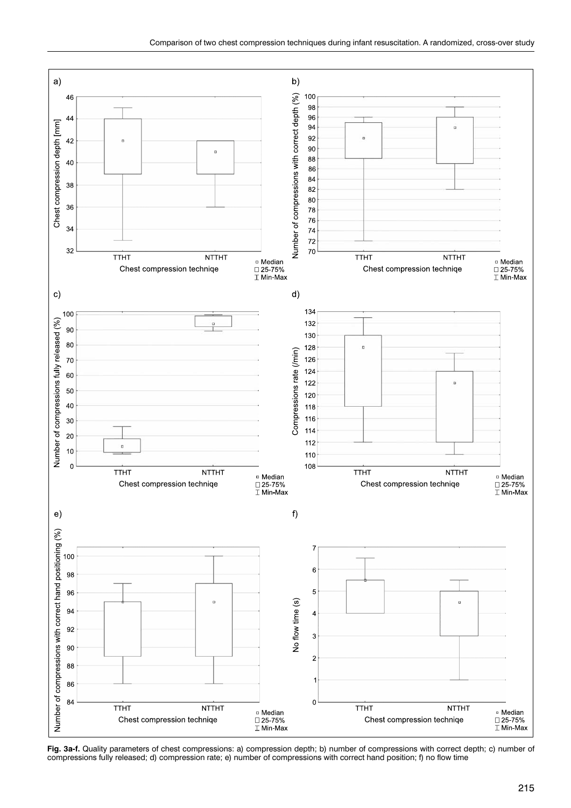

**Fig. 3a-f.** Quality parameters of chest compressions: a) compression depth; b) number of compressions with correct depth; c) number of compressions fully released; d) compression rate; e) number of compressions with correct hand position; f) no flow time